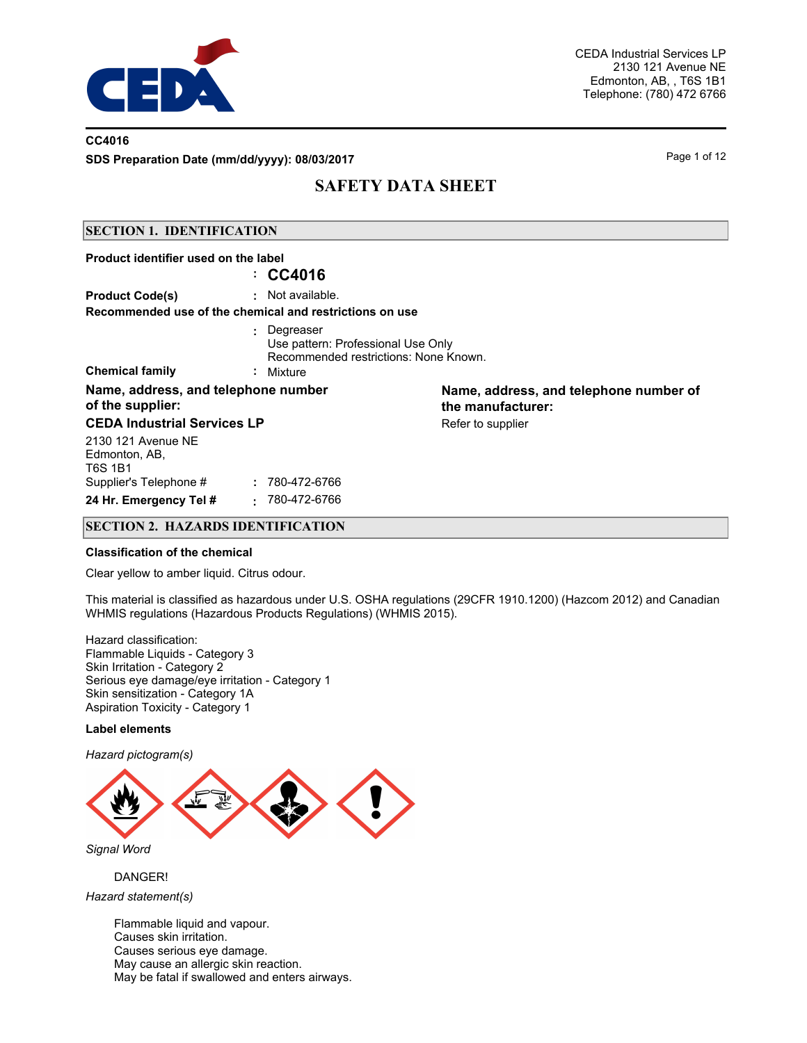

## **CC4016**

**SDS Preparation Date (mm/dd/yyyy): 08/03/2017** Page 1 of 12

# **SAFETY DATA SHEET**

#### **SECTION 1. IDENTIFICATION**

| Product identifier used on the label                    | $\therefore$ CC4016                                                                                     |                                                             |
|---------------------------------------------------------|---------------------------------------------------------------------------------------------------------|-------------------------------------------------------------|
| <b>Product Code(s)</b>                                  | : Not available.<br>Recommended use of the chemical and restrictions on use                             |                                                             |
| <b>Chemical family</b>                                  | : Degreaser<br>Use pattern: Professional Use Only<br>Recommended restrictions: None Known.<br>: Mixture |                                                             |
| Name, address, and telephone number<br>of the supplier: |                                                                                                         | Name, address, and telephone number of<br>the manufacturer: |
| <b>CEDA Industrial Services LP</b>                      |                                                                                                         | Refer to supplier                                           |
| 2130 121 Avenue NE<br>Edmonton, AB,<br>T6S 1B1          |                                                                                                         |                                                             |
| Supplier's Telephone #                                  | : 780-472-6766                                                                                          |                                                             |
| 24 Hr. Emergency Tel #                                  | 780-472-6766<br>$\bullet$                                                                               |                                                             |

### **SECTION 2. HAZARDS IDENTIFICATION**

#### **Classification of the chemical**

Clear yellow to amber liquid. Citrus odour.

This material is classified as hazardous under U.S. OSHA regulations (29CFR 1910.1200) (Hazcom 2012) and Canadian WHMIS regulations (Hazardous Products Regulations) (WHMIS 2015).

Hazard classification: Flammable Liquids - Category 3 Skin Irritation - Category 2 Serious eye damage/eye irritation - Category 1 Skin sensitization - Category 1A Aspiration Toxicity - Category 1

#### **Label elements**

*Hazard pictogram(s)*



### DANGER!

*Hazard statement(s)*

Flammable liquid and vapour. Causes skin irritation. Causes serious eye damage. May cause an allergic skin reaction. May be fatal if swallowed and enters airways.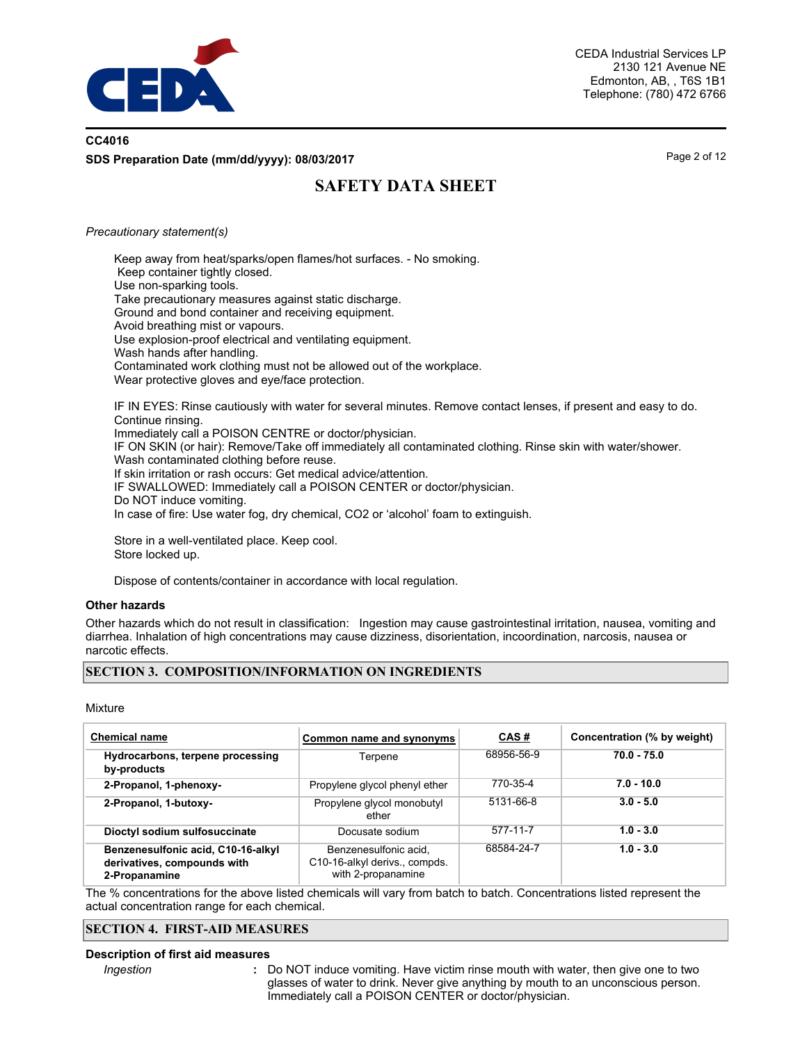

## **CC4016 SDS Preparation Date (mm/dd/yyyy): 08/03/2017** Page 2 of 12

# **SAFETY DATA SHEET**

#### *Precautionary statement(s)*

Keep away from heat/sparks/open flames/hot surfaces. - No smoking. Keep container tightly closed. Use non-sparking tools. Take precautionary measures against static discharge. Ground and bond container and receiving equipment. Avoid breathing mist or vapours. Use explosion-proof electrical and ventilating equipment. Wash hands after handling. Contaminated work clothing must not be allowed out of the workplace. Wear protective gloves and eye/face protection. IF IN EYES: Rinse cautiously with water for several minutes. Remove contact lenses, if present and easy to do.

Continue rinsing. Immediately call a POISON CENTRE or doctor/physician. IF ON SKIN (or hair): Remove/Take off immediately all contaminated clothing. Rinse skin with water/shower. Wash contaminated clothing before reuse. If skin irritation or rash occurs: Get medical advice/attention. IF SWALLOWED: Immediately call a POISON CENTER or doctor/physician. Do NOT induce vomiting. In case of fire: Use water fog, dry chemical, CO2 or 'alcohol' foam to extinguish.

Store in a well-ventilated place. Keep cool. Store locked up.

Dispose of contents/container in accordance with local regulation.

#### **Other hazards**

Other hazards which do not result in classification: Ingestion may cause gastrointestinal irritation, nausea, vomiting and diarrhea. Inhalation of high concentrations may cause dizziness, disorientation, incoordination, narcosis, nausea or narcotic effects.

### **SECTION 3. COMPOSITION/INFORMATION ON INGREDIENTS**

Mixture

| <b>Chemical name</b>                                                               | Common name and synonyms                                                     | <u>CAS#</u>     | Concentration (% by weight) |
|------------------------------------------------------------------------------------|------------------------------------------------------------------------------|-----------------|-----------------------------|
| Hydrocarbons, terpene processing<br>by-products                                    | Terpene                                                                      | 68956-56-9      | $70.0 - 75.0$               |
| 2-Propanol, 1-phenoxy-                                                             | Propylene glycol phenyl ether                                                | 770-35-4        | $7.0 - 10.0$                |
| 2-Propanol, 1-butoxy-                                                              | Propylene glycol monobutyl<br>ether                                          | $5131 - 66 - 8$ | $3.0 - 5.0$                 |
| Dioctyl sodium sulfosuccinate                                                      | Docusate sodium                                                              | 577-11-7        | $1.0 - 3.0$                 |
| Benzenesulfonic acid, C10-16-alkyl<br>derivatives, compounds with<br>2-Propanamine | Benzenesulfonic acid.<br>C10-16-alkyl derivs., compds.<br>with 2-propanamine | 68584-24-7      | $1.0 - 3.0$                 |

The % concentrations for the above listed chemicals will vary from batch to batch. Concentrations listed represent the actual concentration range for each chemical.

## **SECTION 4. FIRST-AID MEASURES**

#### **Description of first aid measures**

*Ingestion* **:**

Do NOT induce vomiting. Have victim rinse mouth with water, then give one to two glasses of water to drink. Never give anything by mouth to an unconscious person. Immediately call a POISON CENTER or doctor/physician.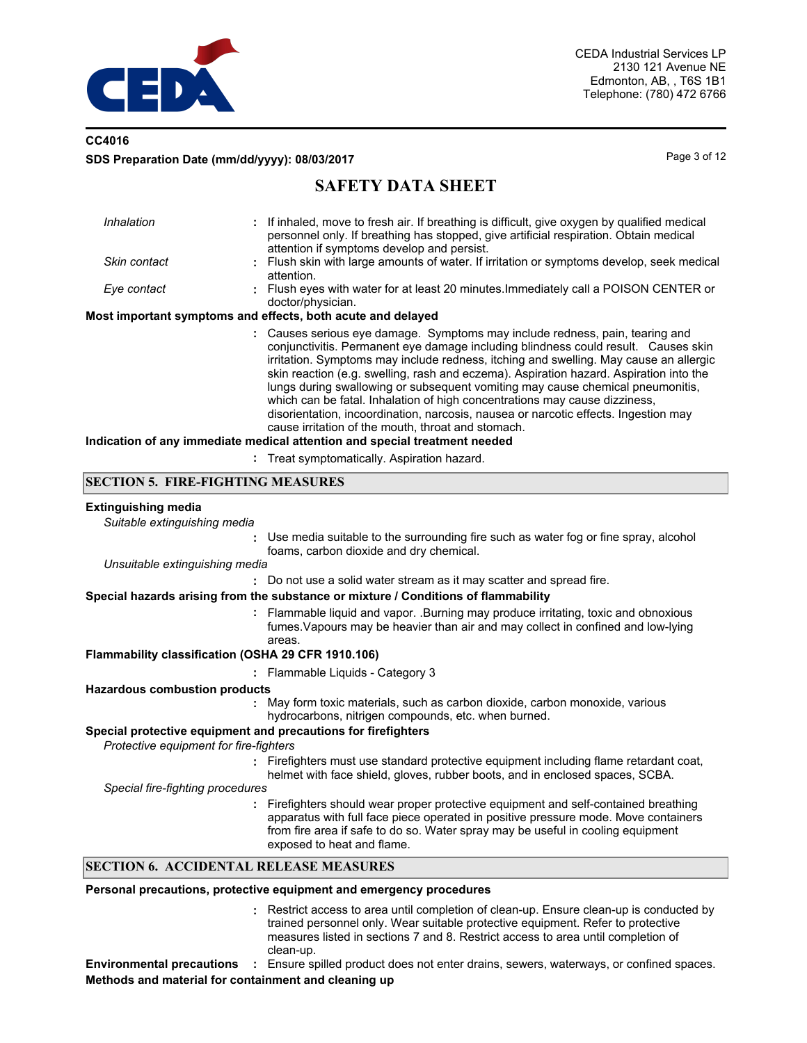

## **CC4016 SDS Preparation Date (mm/dd/yyyy): 08/03/2017** Page 3 of 12

# **SAFETY DATA SHEET**

| Inhalation   | : If inhaled, move to fresh air. If breathing is difficult, give oxygen by qualified medical<br>personnel only. If breathing has stopped, give artificial respiration. Obtain medical<br>attention if symptoms develop and persist.                                                                                                                                                                                                                                                                                                                                                                                                                                |
|--------------|--------------------------------------------------------------------------------------------------------------------------------------------------------------------------------------------------------------------------------------------------------------------------------------------------------------------------------------------------------------------------------------------------------------------------------------------------------------------------------------------------------------------------------------------------------------------------------------------------------------------------------------------------------------------|
| Skin contact | : Flush skin with large amounts of water. If irritation or symptoms develop, seek medical<br>attention.                                                                                                                                                                                                                                                                                                                                                                                                                                                                                                                                                            |
| Eye contact  | : Flush eyes with water for at least 20 minutes. Immediately call a POISON CENTER or<br>doctor/physician.                                                                                                                                                                                                                                                                                                                                                                                                                                                                                                                                                          |
|              | Most important symptoms and effects, both acute and delayed                                                                                                                                                                                                                                                                                                                                                                                                                                                                                                                                                                                                        |
|              | : Causes serious eye damage. Symptoms may include redness, pain, tearing and<br>conjunctivitis. Permanent eye damage including blindness could result. Causes skin<br>irritation. Symptoms may include redness, itching and swelling. May cause an allergic<br>skin reaction (e.g. swelling, rash and eczema). Aspiration hazard. Aspiration into the<br>lungs during swallowing or subsequent vomiting may cause chemical pneumonitis.<br>which can be fatal. Inhalation of high concentrations may cause dizziness,<br>disorientation, incoordination, narcosis, nausea or narcotic effects. Ingestion may<br>cause irritation of the mouth, throat and stomach. |
|              | Indication of any immediate medical attention and special treatment needed                                                                                                                                                                                                                                                                                                                                                                                                                                                                                                                                                                                         |

**:** Treat symptomatically. Aspiration hazard.

### **SECTION 5. FIRE-FIGHTING MEASURES**

#### **Extinguishing media**

*Suitable extinguishing media*

**:** Use media suitable to the surrounding fire such as water fog or fine spray, alcohol foams, carbon dioxide and dry chemical.

*Unsuitable extinguishing media*

**:** Do not use a solid water stream as it may scatter and spread fire.

#### **Special hazards arising from the substance or mixture / Conditions of flammability**

Flammable liquid and vapor. .Burning may produce irritating, toxic and obnoxious **:** fumes.Vapours may be heavier than air and may collect in confined and low-lying areas.

#### **Flammability classification (OSHA 29 CFR 1910.106)**

**:** Flammable Liquids - Category 3

### **Hazardous combustion products**

May form toxic materials, such as carbon dioxide, carbon monoxide, various **:** hydrocarbons, nitrigen compounds, etc. when burned.

### **Special protective equipment and precautions for firefighters**

*Protective equipment for fire-fighters*

- **:** Firefighters must use standard protective equipment including flame retardant coat, helmet with face shield, gloves, rubber boots, and in enclosed spaces, SCBA.
- *Special fire-fighting procedures*
	- **:** Firefighters should wear proper protective equipment and self-contained breathing apparatus with full face piece operated in positive pressure mode. Move containers from fire area if safe to do so. Water spray may be useful in cooling equipment exposed to heat and flame.

### **SECTION 6. ACCIDENTAL RELEASE MEASURES**

#### **Personal precautions, protective equipment and emergency procedures**

Restrict access to area until completion of clean-up. Ensure clean-up is conducted by **:** trained personnel only. Wear suitable protective equipment. Refer to protective measures listed in sections 7 and 8. Restrict access to area until completion of clean-up.

**Environmental precautions :** Ensure spilled product does not enter drains, sewers, waterways, or confined spaces. **Methods and material for containment and cleaning up**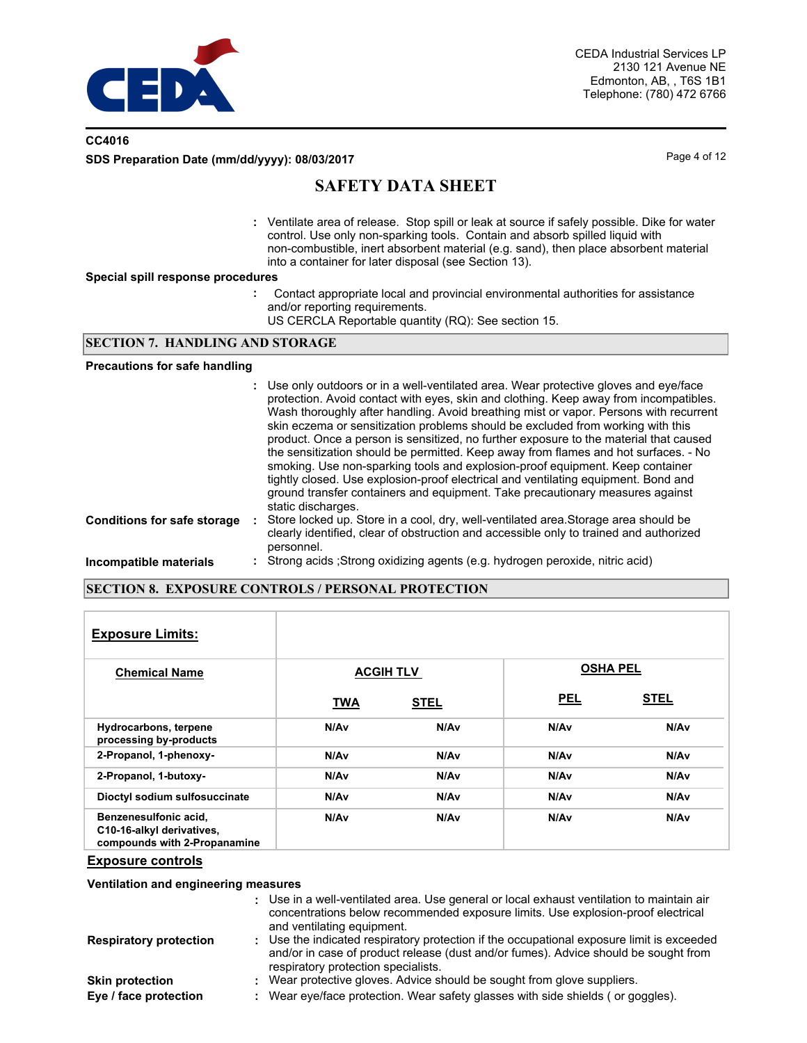

## **CC4016 SDS Preparation Date (mm/dd/yyyy): 08/03/2017** Page 4 of 12

# **SAFETY DATA SHEET**

Ventilate area of release. Stop spill or leak at source if safely possible. Dike for water **:** control. Use only non-sparking tools. Contain and absorb spilled liquid with non-combustible, inert absorbent material (e.g. sand), then place absorbent material into a container for later disposal (see Section 13).

#### **Special spill response procedures**

- **:** Contact appropriate local and provincial environmental authorities for assistance and/or reporting requirements.
	- US CERCLA Reportable quantity (RQ): See section 15.

#### **SECTION 7. HANDLING AND STORAGE**

#### **Precautions for safe handling**

|                                    | : Use only outdoors or in a well-ventilated area. Wear protective gloves and eye/face<br>protection. Avoid contact with eyes, skin and clothing. Keep away from incompatibles.<br>Wash thoroughly after handling. Avoid breathing mist or vapor. Persons with recurrent<br>skin eczema or sensitization problems should be excluded from working with this<br>product. Once a person is sensitized, no further exposure to the material that caused<br>the sensitization should be permitted. Keep away from flames and hot surfaces. - No<br>smoking. Use non-sparking tools and explosion-proof equipment. Keep container<br>tightly closed. Use explosion-proof electrical and ventilating equipment. Bond and<br>ground transfer containers and equipment. Take precautionary measures against<br>static discharges. |
|------------------------------------|--------------------------------------------------------------------------------------------------------------------------------------------------------------------------------------------------------------------------------------------------------------------------------------------------------------------------------------------------------------------------------------------------------------------------------------------------------------------------------------------------------------------------------------------------------------------------------------------------------------------------------------------------------------------------------------------------------------------------------------------------------------------------------------------------------------------------|
| <b>Conditions for safe storage</b> | : Store locked up. Store in a cool, dry, well-ventilated area. Storage area should be<br>clearly identified, clear of obstruction and accessible only to trained and authorized<br>personnel.                                                                                                                                                                                                                                                                                                                                                                                                                                                                                                                                                                                                                            |
| Incompatible materials             | : Strong acids ; Strong oxidizing agents (e.g. hydrogen peroxide, nitric acid)                                                                                                                                                                                                                                                                                                                                                                                                                                                                                                                                                                                                                                                                                                                                           |

### **SECTION 8. EXPOSURE CONTROLS / PERSONAL PROTECTION**

| <b>Exposure Limits:</b>                                                            |            |                  |                 |             |
|------------------------------------------------------------------------------------|------------|------------------|-----------------|-------------|
| <b>Chemical Name</b>                                                               |            | <b>ACGIH TLV</b> | <b>OSHA PEL</b> |             |
|                                                                                    | <b>TWA</b> | <b>STEL</b>      | <b>PEL</b>      | <b>STEL</b> |
| Hydrocarbons, terpene<br>processing by-products                                    | N/Av       | N/A <sub>v</sub> | N/Av            | N/Av        |
| 2-Propanol, 1-phenoxy-                                                             | N/Av       | N/Av             | N/Av            | N/Av        |
| 2-Propanol, 1-butoxy-                                                              | N/Av       | N/Av             | N/Av            | N/Av        |
| Dioctyl sodium sulfosuccinate                                                      | N/Av       | N/Av             | N/Av            | N/Av        |
| Benzenesulfonic acid,<br>C10-16-alkyl derivatives,<br>compounds with 2-Propanamine | N/Av       | N/A <sub>v</sub> | N/Av            | N/Av        |

#### **Exposure controls**

**Ventilation and engineering measures**

|                               | : Use in a well-ventilated area. Use general or local exhaust ventilation to maintain air<br>concentrations below recommended exposure limits. Use explosion-proof electrical<br>and ventilating equipment.             |
|-------------------------------|-------------------------------------------------------------------------------------------------------------------------------------------------------------------------------------------------------------------------|
| <b>Respiratory protection</b> | : Use the indicated respiratory protection if the occupational exposure limit is exceeded<br>and/or in case of product release (dust and/or fumes). Advice should be sought from<br>respiratory protection specialists. |
| <b>Skin protection</b>        | : Wear protective gloves. Advice should be sought from glove suppliers.                                                                                                                                                 |
| Eye / face protection         | : Wear eye/face protection. Wear safety glasses with side shields (or goggles).                                                                                                                                         |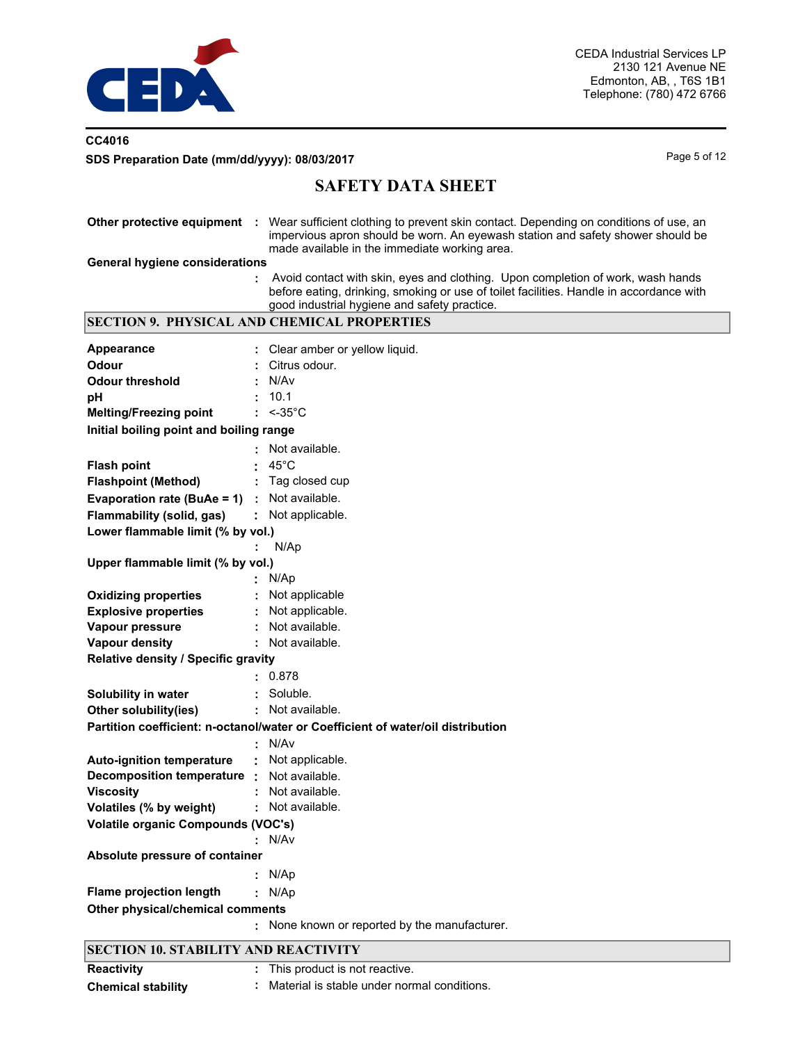

## **CC4016** SDS Preparation Date (mm/dd/yyyy): 08/03/2017 and the state of the page 5 of 12

# **SAFETY DATA SHEET**

|                                             | Other protective equipment : Wear sufficient clothing to prevent skin contact. Depending on conditions of use, an<br>impervious apron should be worn. An eyewash station and safety shower should be<br>made available in the immediate working area. |  |  |  |  |
|---------------------------------------------|-------------------------------------------------------------------------------------------------------------------------------------------------------------------------------------------------------------------------------------------------------|--|--|--|--|
| <b>General hygiene considerations</b>       |                                                                                                                                                                                                                                                       |  |  |  |  |
|                                             | Avoid contact with skin, eyes and clothing. Upon completion of work, wash hands<br>before eating, drinking, smoking or use of toilet facilities. Handle in accordance with<br>good industrial hygiene and safety practice.                            |  |  |  |  |
|                                             | <b>SECTION 9. PHYSICAL AND CHEMICAL PROPERTIES</b>                                                                                                                                                                                                    |  |  |  |  |
| <b>Appearance</b>                           | Clear amber or yellow liquid.                                                                                                                                                                                                                         |  |  |  |  |
| <b>Odour</b>                                | Citrus odour.                                                                                                                                                                                                                                         |  |  |  |  |
| <b>Odour threshold</b>                      | N/Av                                                                                                                                                                                                                                                  |  |  |  |  |
| pH                                          | 10.1                                                                                                                                                                                                                                                  |  |  |  |  |
| <b>Melting/Freezing point</b>               | $: < -35^{\circ}$ C                                                                                                                                                                                                                                   |  |  |  |  |
| Initial boiling point and boiling range     |                                                                                                                                                                                                                                                       |  |  |  |  |
|                                             | Not available.                                                                                                                                                                                                                                        |  |  |  |  |
| <b>Flash point</b>                          | $45^{\circ}$ C                                                                                                                                                                                                                                        |  |  |  |  |
| <b>Flashpoint (Method)</b>                  | Tag closed cup                                                                                                                                                                                                                                        |  |  |  |  |
| Evaporation rate (BuAe = 1) :               | Not available.                                                                                                                                                                                                                                        |  |  |  |  |
| Flammability (solid, gas)                   | : Not applicable.                                                                                                                                                                                                                                     |  |  |  |  |
| Lower flammable limit (% by vol.)           |                                                                                                                                                                                                                                                       |  |  |  |  |
|                                             | N/Ap                                                                                                                                                                                                                                                  |  |  |  |  |
| Upper flammable limit (% by vol.)           |                                                                                                                                                                                                                                                       |  |  |  |  |
|                                             | N/Ap                                                                                                                                                                                                                                                  |  |  |  |  |
| <b>Oxidizing properties</b>                 | Not applicable                                                                                                                                                                                                                                        |  |  |  |  |
| <b>Explosive properties</b>                 | Not applicable.                                                                                                                                                                                                                                       |  |  |  |  |
| Vapour pressure                             | Not available.                                                                                                                                                                                                                                        |  |  |  |  |
| <b>Vapour density</b>                       | Not available.                                                                                                                                                                                                                                        |  |  |  |  |
| Relative density / Specific gravity         |                                                                                                                                                                                                                                                       |  |  |  |  |
|                                             | 0.878                                                                                                                                                                                                                                                 |  |  |  |  |
| Solubility in water                         | Soluble.                                                                                                                                                                                                                                              |  |  |  |  |
| Other solubility(ies)                       | Not available.                                                                                                                                                                                                                                        |  |  |  |  |
|                                             | Partition coefficient: n-octanol/water or Coefficient of water/oil distribution                                                                                                                                                                       |  |  |  |  |
|                                             | N/Av                                                                                                                                                                                                                                                  |  |  |  |  |
| <b>Auto-ignition temperature</b>            | Not applicable.                                                                                                                                                                                                                                       |  |  |  |  |
| Decomposition temperature :                 | Not available.                                                                                                                                                                                                                                        |  |  |  |  |
| <b>Viscosity</b>                            | Not available.                                                                                                                                                                                                                                        |  |  |  |  |
| Volatiles (% by weight)                     | Not available.                                                                                                                                                                                                                                        |  |  |  |  |
| <b>Volatile organic Compounds (VOC's)</b>   |                                                                                                                                                                                                                                                       |  |  |  |  |
|                                             | N/Av                                                                                                                                                                                                                                                  |  |  |  |  |
| Absolute pressure of container              |                                                                                                                                                                                                                                                       |  |  |  |  |
|                                             | N/Ap                                                                                                                                                                                                                                                  |  |  |  |  |
| <b>Flame projection length</b>              | N/Ap                                                                                                                                                                                                                                                  |  |  |  |  |
| Other physical/chemical comments            |                                                                                                                                                                                                                                                       |  |  |  |  |
|                                             | : None known or reported by the manufacturer.                                                                                                                                                                                                         |  |  |  |  |
| <b>SECTION 10. STABILITY AND REACTIVITY</b> |                                                                                                                                                                                                                                                       |  |  |  |  |

| <b>Reactivity</b>         | : This product is not reactive.             |
|---------------------------|---------------------------------------------|
| <b>Chemical stability</b> | Material is stable under normal conditions. |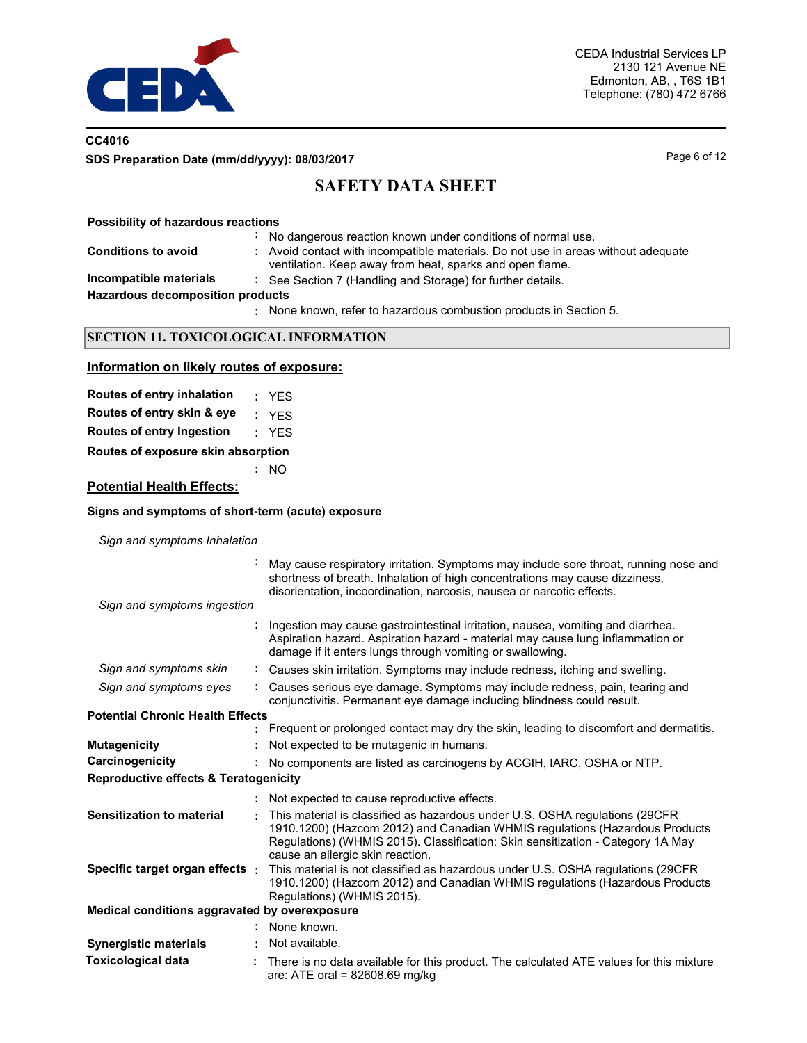

## **CC4016 SDS Preparation Date (mm/dd/yyyy): 08/03/2017** Page 6 of 12

# **SAFETY DATA SHEET**

**Possibility of hazardous reactions**

**Conditions to avoid** 

- **:** No dangerous reaction known under conditions of normal use.
- **:** Avoid contact with incompatible materials. Do not use in areas without adequate ventilation. Keep away from heat, sparks and open flame.
- 
- **Incompatible materials :** See Section 7 (Handling and Storage) for further details.

**Hazardous decomposition products**

None known, refer to hazardous combustion products in Section 5. **:**

### **SECTION 11. TOXICOLOGICAL INFORMATION**

### **Information on likely routes of exposure:**

| Routes of entry inhalation         | : YFS |
|------------------------------------|-------|
| Routes of entry skin & eye         | : YFS |
| Routes of entry Ingestion          | : YFS |
| Routes of exposure skin absorption |       |

**:** NO

## **Potential Health Effects:**

#### **Signs and symptoms of short-term (acute) exposure**

*Sign and symptoms Inhalation*

|                                                  | May cause respiratory irritation. Symptoms may include sore throat, running nose and<br>shortness of breath. Inhalation of high concentrations may cause dizziness,<br>disorientation, incoordination, narcosis, nausea or narcotic effects.                                       |
|--------------------------------------------------|------------------------------------------------------------------------------------------------------------------------------------------------------------------------------------------------------------------------------------------------------------------------------------|
| Sign and symptoms ingestion                      |                                                                                                                                                                                                                                                                                    |
|                                                  | Ingestion may cause gastrointestinal irritation, nausea, vomiting and diarrhea.<br>Aspiration hazard. Aspiration hazard - material may cause lung inflammation or<br>damage if it enters lungs through vomiting or swallowing.                                                     |
| Sign and symptoms skin                           | : Causes skin irritation. Symptoms may include redness, itching and swelling.                                                                                                                                                                                                      |
| Sign and symptoms eyes                           | Causes serious eye damage. Symptoms may include redness, pain, tearing and<br>conjunctivitis. Permanent eye damage including blindness could result.                                                                                                                               |
| <b>Potential Chronic Health Effects</b>          |                                                                                                                                                                                                                                                                                    |
|                                                  | Frequent or prolonged contact may dry the skin, leading to discomfort and dermatitis.                                                                                                                                                                                              |
| <b>Mutagenicity</b>                              | Not expected to be mutagenic in humans.                                                                                                                                                                                                                                            |
| Carcinogenicity                                  | : No components are listed as carcinogens by ACGIH, IARC, OSHA or NTP.                                                                                                                                                                                                             |
| <b>Reproductive effects &amp; Teratogenicity</b> |                                                                                                                                                                                                                                                                                    |
|                                                  | : Not expected to cause reproductive effects.                                                                                                                                                                                                                                      |
| <b>Sensitization to material</b>                 | This material is classified as hazardous under U.S. OSHA regulations (29CFR)<br>1910.1200) (Hazcom 2012) and Canadian WHMIS regulations (Hazardous Products<br>Regulations) (WHMIS 2015). Classification: Skin sensitization - Category 1A May<br>cause an allergic skin reaction. |
| Specific target organ effects :                  | This material is not classified as hazardous under U.S. OSHA regulations (29CFR<br>1910.1200) (Hazcom 2012) and Canadian WHMIS regulations (Hazardous Products<br>Regulations) (WHMIS 2015).                                                                                       |
| Medical conditions aggravated by overexposure    |                                                                                                                                                                                                                                                                                    |
|                                                  | : None known.                                                                                                                                                                                                                                                                      |
| <b>Synergistic materials</b>                     | Not available.                                                                                                                                                                                                                                                                     |
| <b>Toxicological data</b>                        | There is no data available for this product. The calculated ATE values for this mixture<br>are: ATE oral = 82608.69 mg/kg                                                                                                                                                          |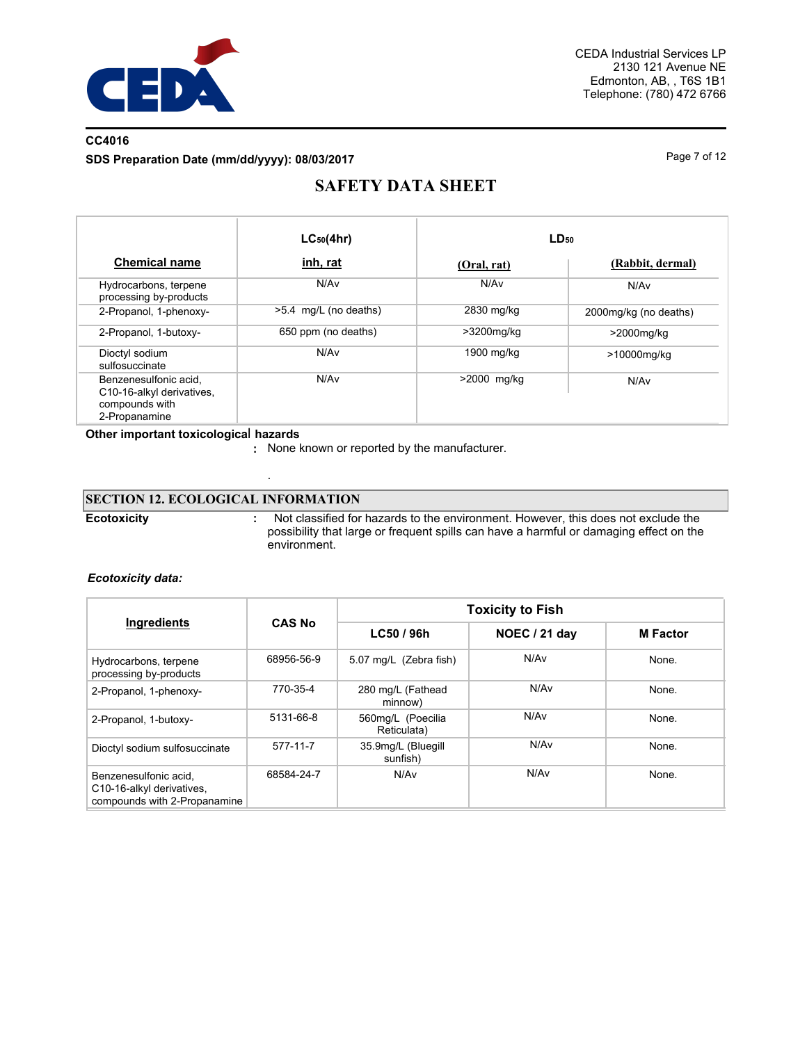

## **CC4016 SDS Preparation Date (mm/dd/yyyy): 08/03/2017** Page 7 of 12

# **SAFETY DATA SHEET**

|                                                                                       | $LC_{50}(4hr)$        |             | $LD_{50}$             |
|---------------------------------------------------------------------------------------|-----------------------|-------------|-----------------------|
| <b>Chemical name</b>                                                                  | <u>inh, rat</u>       | (Oral, rat) | (Rabbit, dermal)      |
| Hydrocarbons, terpene<br>processing by-products                                       | N/Av                  | N/Av        | N/Av                  |
| 2-Propanol, 1-phenoxy-                                                                | >5.4 mg/L (no deaths) | 2830 mg/kg  | 2000mg/kg (no deaths) |
| 2-Propanol, 1-butoxy-                                                                 | 650 ppm (no deaths)   | >3200mg/kg  | >2000mg/kg            |
| Dioctyl sodium<br>sulfosuccinate                                                      | N/Av                  | 1900 mg/kg  | >10000mg/kg           |
| Benzenesulfonic acid.<br>C10-16-alkyl derivatives,<br>compounds with<br>2-Propanamine | N/A <sub>v</sub>      | >2000 mg/kg | N/Av                  |

### **Other important toxicologica**l **hazards**

**:** None known or reported by the manufacturer.

## **SECTION 12. ECOLOGICAL INFORMATION**

.

**Ecotoxicity :**

 Not classified for hazards to the environment. However, this does not exclude the possibility that large or frequent spills can have a harmful or damaging effect on the environment.

### *Ecotoxicity data:*

| Ingredients                                                                        |               | <b>Toxicity to Fish</b>          |                      |                 |  |
|------------------------------------------------------------------------------------|---------------|----------------------------------|----------------------|-----------------|--|
|                                                                                    | <b>CAS No</b> | LC50 / 96h                       | <b>NOEC / 21 day</b> | <b>M</b> Factor |  |
| Hydrocarbons, terpene<br>processing by-products                                    | 68956-56-9    | 5.07 mg/L (Zebra fish)           | N/Av                 | None.           |  |
| 2-Propanol, 1-phenoxy-                                                             | 770-35-4      | 280 mg/L (Fathead<br>minnow)     | N/Av                 | None.           |  |
| 2-Propanol, 1-butoxy-                                                              | 5131-66-8     | 560mg/L (Poecilia<br>Reticulata) | N/Av                 | None.           |  |
| Dioctyl sodium sulfosuccinate                                                      | 577-11-7      | 35.9mg/L (Bluegill<br>sunfish)   | N/A <sub>v</sub>     | None.           |  |
| Benzenesulfonic acid.<br>C10-16-alkyl derivatives,<br>compounds with 2-Propanamine | 68584-24-7    | N/Av                             | N/Av                 | None.           |  |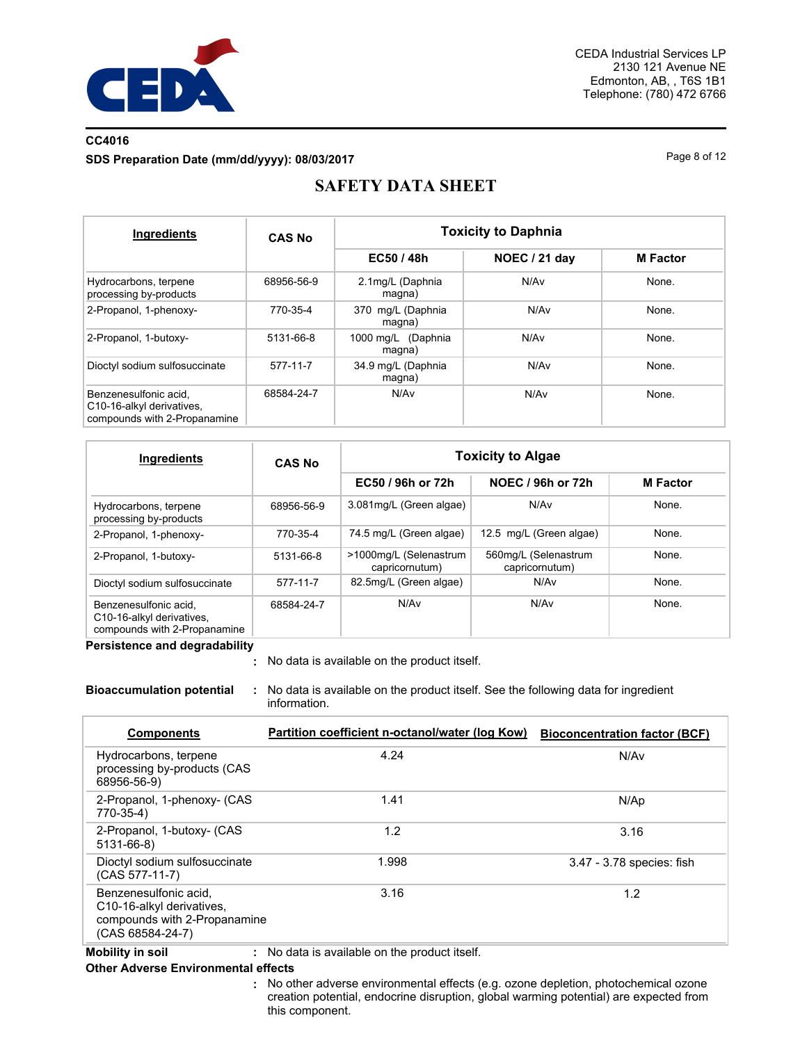

## **CC4016 SDS Preparation Date (mm/dd/yyyy): 08/03/2017** Page 8 of 12

# **SAFETY DATA SHEET**

| Ingredients                                                                        | <b>CAS No</b> | <b>Toxicity to Daphnia</b>   |               |                 |  |  |
|------------------------------------------------------------------------------------|---------------|------------------------------|---------------|-----------------|--|--|
|                                                                                    |               | EC50 / 48h                   | NOEC / 21 day | <b>M</b> Factor |  |  |
| Hydrocarbons, terpene<br>processing by-products                                    | 68956-56-9    | 2.1mg/L (Daphnia<br>magna)   | N/Av          | None.           |  |  |
| 2-Propanol, 1-phenoxy-                                                             | 770-35-4      | 370 mg/L (Daphnia<br>magna)  | N/Av          | None.           |  |  |
| 2-Propanol, 1-butoxy-                                                              | 5131-66-8     | 1000 mg/L (Daphnia<br>magna) | N/Av          | None.           |  |  |
| Dioctyl sodium sulfosuccinate                                                      | 577-11-7      | 34.9 mg/L (Daphnia<br>magna) | N/Av          | None.           |  |  |
| Benzenesulfonic acid.<br>C10-16-alkyl derivatives,<br>compounds with 2-Propanamine | 68584-24-7    | N/Av                         | N/Av          | None.           |  |  |

| Ingredients                                                                        | <b>CAS No</b> | <b>Toxicity to Algae</b>                 |                                        |                 |
|------------------------------------------------------------------------------------|---------------|------------------------------------------|----------------------------------------|-----------------|
|                                                                                    |               | EC50 / 96h or 72h                        | NOEC / 96h or 72h                      | <b>M</b> Factor |
| Hydrocarbons, terpene<br>processing by-products                                    | 68956-56-9    | 3.081mg/L (Green algae)                  | N/Av                                   | None.           |
| 2-Propanol, 1-phenoxy-                                                             | 770-35-4      | 74.5 mg/L (Green algae)                  | 12.5 mg/L (Green algae)                | None.           |
| 2-Propanol, 1-butoxy-                                                              | 5131-66-8     | >1000mg/L (Selenastrum<br>capricornutum) | 560mg/L (Selenastrum<br>capricornutum) | None.           |
| Dioctyl sodium sulfosuccinate                                                      | 577-11-7      | 82.5mg/L (Green algae)                   | N/Av                                   | None.           |
| Benzenesulfonic acid.<br>C10-16-alkyl derivatives.<br>compounds with 2-Propanamine | 68584-24-7    | N/Av                                     | N/Av                                   | None.           |

**Persistence and degradability**

No data is available on the product itself. **:**

**Bioaccumulation potential :** No data is available on the product itself. See the following data for ingredient information.

| <b>Components</b>                                                                                                   | Partition coefficient n-octanol/water (log Kow) | <b>Bioconcentration factor (BCF)</b> |
|---------------------------------------------------------------------------------------------------------------------|-------------------------------------------------|--------------------------------------|
| Hydrocarbons, terpene<br>processing by-products (CAS<br>68956-56-9)                                                 | 4.24                                            | N/A <sub>v</sub>                     |
| 2-Propanol, 1-phenoxy- (CAS<br>770-35-4)                                                                            | 1.41                                            | N/Ap                                 |
| 2-Propanol, 1-butoxy- (CAS<br>5131-66-8)                                                                            | 1.2                                             | 3.16                                 |
| Dioctyl sodium sulfosuccinate<br>(CAS 577-11-7)                                                                     | 1.998                                           | 3.47 - 3.78 species: fish            |
| Benzenesulfonic acid,<br>C <sub>10</sub> -16-alkyl derivatives,<br>compounds with 2-Propanamine<br>(CAS 68584-24-7) | 3.16                                            | 1.2                                  |

**Mobility in soil :** No data is available on the product itself.

### **Other Adverse Environmental effects**

No other adverse environmental effects (e.g. ozone depletion, photochemical ozone **:**creation potential, endocrine disruption, global warming potential) are expected from this component.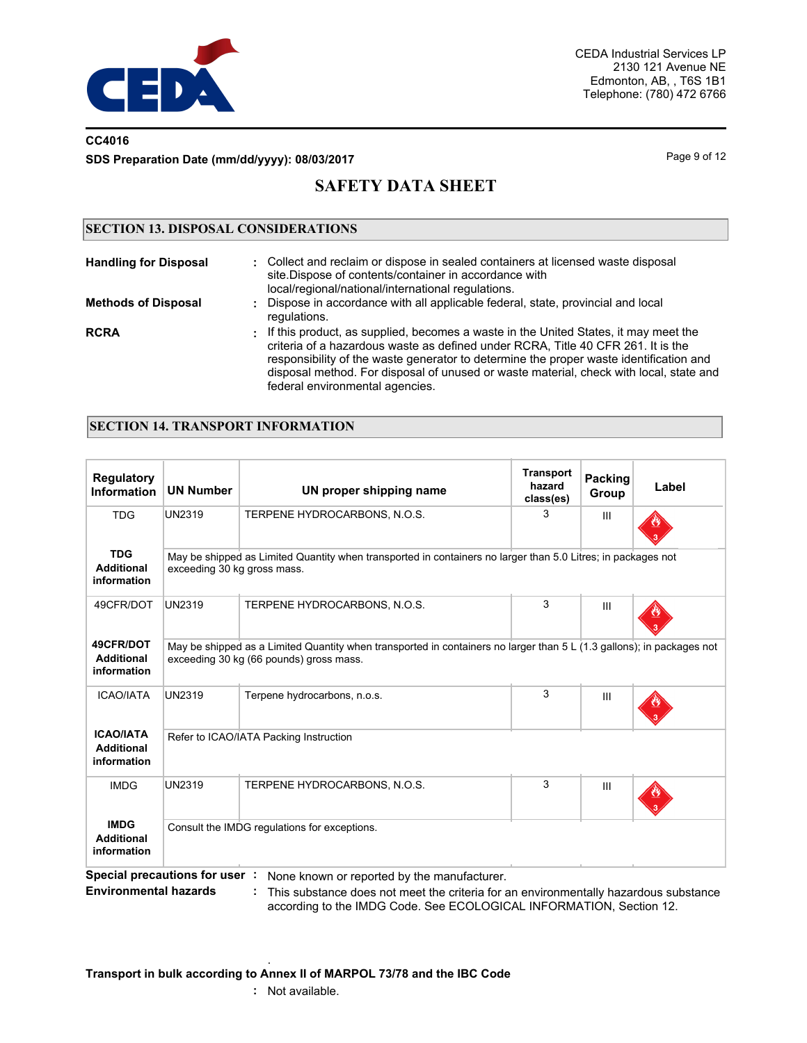

## **CC4016 SDS Preparation Date (mm/dd/yyyy): 08/03/2017** Page 9 of 12

# **SAFETY DATA SHEET**

## **SECTION 13. DISPOSAL CONSIDERATIONS**

| <b>Handling for Disposal</b> | : Collect and reclaim or dispose in sealed containers at licensed waste disposal<br>site. Dispose of contents/container in accordance with<br>local/regional/national/international regulations.                                                                                                                                                                                                 |
|------------------------------|--------------------------------------------------------------------------------------------------------------------------------------------------------------------------------------------------------------------------------------------------------------------------------------------------------------------------------------------------------------------------------------------------|
| <b>Methods of Disposal</b>   | : Dispose in accordance with all applicable federal, state, provincial and local<br>regulations.                                                                                                                                                                                                                                                                                                 |
| <b>RCRA</b>                  | . If this product, as supplied, becomes a waste in the United States, it may meet the<br>criteria of a hazardous waste as defined under RCRA. Title 40 CFR 261. It is the<br>responsibility of the waste generator to determine the proper waste identification and<br>disposal method. For disposal of unused or waste material, check with local, state and<br>federal environmental agencies. |

## **SECTION 14. TRANSPORT INFORMATION**

| <b>Regulatory</b><br><b>Information</b>              | <b>UN Number</b>                                                                                                                                                 | UN proper shipping name                                                                                                                                               | <b>Transport</b><br>hazard<br>class(es) | Packing<br>Group | Label |  |  |
|------------------------------------------------------|------------------------------------------------------------------------------------------------------------------------------------------------------------------|-----------------------------------------------------------------------------------------------------------------------------------------------------------------------|-----------------------------------------|------------------|-------|--|--|
| <b>TDG</b>                                           | <b>UN2319</b>                                                                                                                                                    | TERPENE HYDROCARBONS, N.O.S.                                                                                                                                          | 3                                       | Ш                |       |  |  |
| <b>TDG</b><br><b>Additional</b><br>information       | exceeding 30 kg gross mass.                                                                                                                                      | May be shipped as Limited Quantity when transported in containers no larger than 5.0 Litres; in packages not                                                          |                                         |                  |       |  |  |
| 49CFR/DOT                                            | <b>UN2319</b>                                                                                                                                                    | TERPENE HYDROCARBONS, N.O.S.                                                                                                                                          | 3                                       | III              |       |  |  |
| 49CFR/DOT<br><b>Additional</b><br>information        | May be shipped as a Limited Quantity when transported in containers no larger than 5 L (1.3 gallons); in packages not<br>exceeding 30 kg (66 pounds) gross mass. |                                                                                                                                                                       |                                         |                  |       |  |  |
| <b>ICAO/IATA</b>                                     | <b>UN2319</b>                                                                                                                                                    | Terpene hydrocarbons, n.o.s.                                                                                                                                          | 3                                       | III              |       |  |  |
| <b>ICAO/IATA</b><br><b>Additional</b><br>information | Refer to ICAO/IATA Packing Instruction                                                                                                                           |                                                                                                                                                                       |                                         |                  |       |  |  |
| <b>IMDG</b>                                          | <b>UN2319</b>                                                                                                                                                    | TERPENE HYDROCARBONS, N.O.S.                                                                                                                                          | 3                                       | Ш                |       |  |  |
| <b>IMDG</b><br><b>Additional</b><br>information      |                                                                                                                                                                  | Consult the IMDG regulations for exceptions.                                                                                                                          |                                         |                  |       |  |  |
| Environmontal hazarde i                              |                                                                                                                                                                  | Special precautions for user : None known or reported by the manufacturer.<br>. This substance does not meet the sriteria for an environmentally becarde up substance |                                         |                  |       |  |  |

**Environmental hazards :** This substance does not meet the criteria for an environmentally hazardous substance according to the IMDG Code. See ECOLOGICAL INFORMATION, Section 12.

#### . **Transport in bulk according to Annex II of MARPOL 73/78 and the IBC Code**

**:** Not available.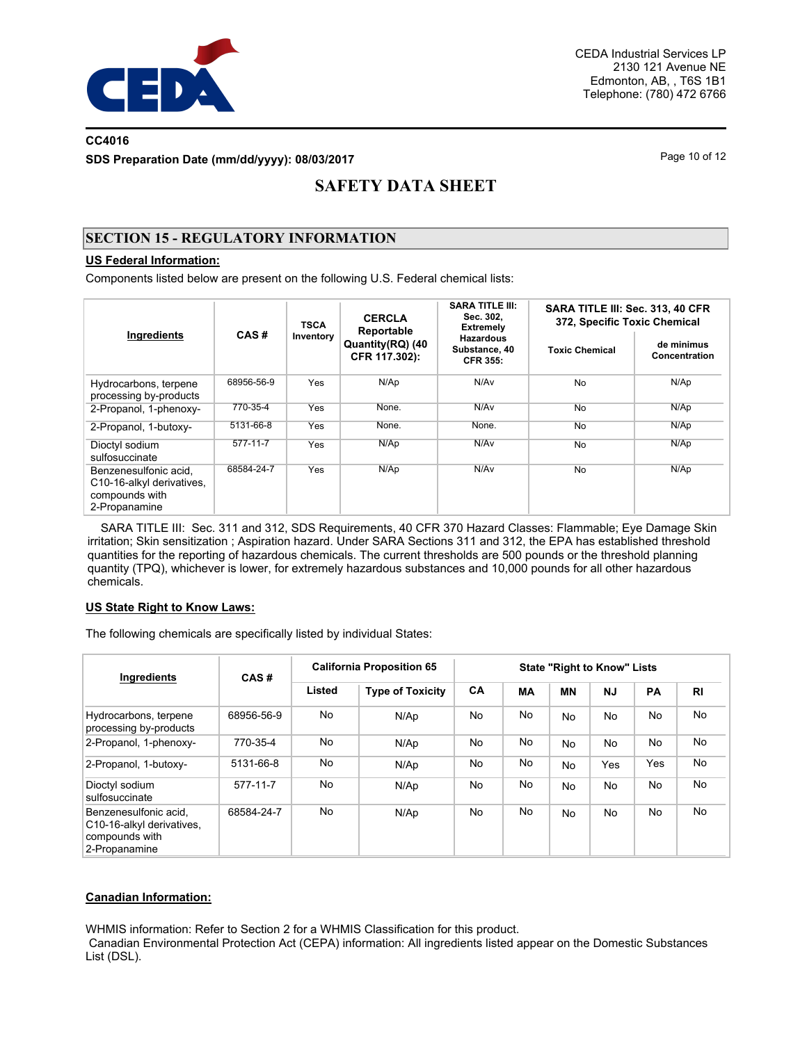

## **CC4016 SDS Preparation Date (mm/dd/yyyy): 08/03/2017** Page 10 of 12

# **SAFETY DATA SHEET**

## **SECTION 15 - REGULATORY INFORMATION**

### **US Federal Information:**

Components listed below are present on the following U.S. Federal chemical lists:

| Ingredients                                                                           | CAS#           | <b>TSCA</b><br>Inventory | <b>CERCLA</b><br>Reportable<br>Quantity(RQ) (40<br>CFR 117.302): | <b>SARA TITLE III:</b><br>Sec. 302,<br><b>Extremely</b> | SARA TITLE III: Sec. 313, 40 CFR<br>372, Specific Toxic Chemical |                                    |  |
|---------------------------------------------------------------------------------------|----------------|--------------------------|------------------------------------------------------------------|---------------------------------------------------------|------------------------------------------------------------------|------------------------------------|--|
|                                                                                       |                |                          |                                                                  | <b>Hazardous</b><br>Substance, 40<br><b>CFR 355:</b>    | <b>Toxic Chemical</b>                                            | de minimus<br><b>Concentration</b> |  |
| Hydrocarbons, terpene<br>processing by-products                                       | 68956-56-9     | Yes                      | N/Ap                                                             | N/Av                                                    | <b>No</b>                                                        | N/Ap                               |  |
| 2-Propanol, 1-phenoxy-                                                                | 770-35-4       | Yes                      | None.                                                            | N/Av                                                    | <b>No</b>                                                        | N/Ap                               |  |
| 2-Propanol, 1-butoxy-                                                                 | 5131-66-8      | Yes                      | None.                                                            | None.                                                   | <b>No</b>                                                        | N/Ap                               |  |
| Dioctyl sodium<br>sulfosuccinate                                                      | $577 - 11 - 7$ | Yes                      | N/Ap                                                             | N/Av                                                    | <b>No</b>                                                        | N/Ap                               |  |
| Benzenesulfonic acid.<br>C10-16-alkyl derivatives,<br>compounds with<br>2-Propanamine | 68584-24-7     | Yes                      | N/Ap                                                             | N/Av                                                    | No                                                               | N/Ap                               |  |

 SARA TITLE III: Sec. 311 and 312, SDS Requirements, 40 CFR 370 Hazard Classes: Flammable; Eye Damage Skin irritation; Skin sensitization ; Aspiration hazard. Under SARA Sections 311 and 312, the EPA has established threshold quantities for the reporting of hazardous chemicals. The current thresholds are 500 pounds or the threshold planning quantity (TPQ), whichever is lower, for extremely hazardous substances and 10,000 pounds for all other hazardous chemicals.

#### **US State Right to Know Laws:**

The following chemicals are specifically listed by individual States:

| Ingredients                                                                           | CAS#       | <b>California Proposition 65</b> | <b>State "Right to Know" Lists</b> |           |           |           |                |     |                |
|---------------------------------------------------------------------------------------|------------|----------------------------------|------------------------------------|-----------|-----------|-----------|----------------|-----|----------------|
|                                                                                       |            | Listed                           | <b>Type of Toxicity</b>            | CA        | <b>MA</b> | <b>MN</b> | <b>NJ</b>      | PA  | R <sub>l</sub> |
| Hydrocarbons, terpene<br>processing by-products                                       | 68956-56-9 | No                               | N/Ap                               | No.       | No        | <b>No</b> | <b>No</b>      | No. | No             |
| 2-Propanol, 1-phenoxy-                                                                | 770-35-4   | No                               | N/Ap                               | <b>No</b> | No        | No.       | <b>No</b>      | No  | No             |
| 2-Propanol, 1-butoxy-                                                                 | 5131-66-8  | No                               | N/Ap                               | No.       | No        | No.       | Yes            | Yes | No             |
| Dioctyl sodium<br>sulfosuccinate                                                      | 577-11-7   | No                               | N/Ap                               | <b>No</b> | No        | <b>No</b> | No.            | No. | No             |
| Benzenesulfonic acid.<br>C10-16-alkyl derivatives,<br>compounds with<br>2-Propanamine | 68584-24-7 | No                               | N/Ap                               | No.       | No        | No.       | N <sub>o</sub> | No. | No             |

#### **Canadian Information:**

WHMIS information: Refer to Section 2 for a WHMIS Classification for this product.

 Canadian Environmental Protection Act (CEPA) information: All ingredients listed appear on the Domestic Substances List (DSL).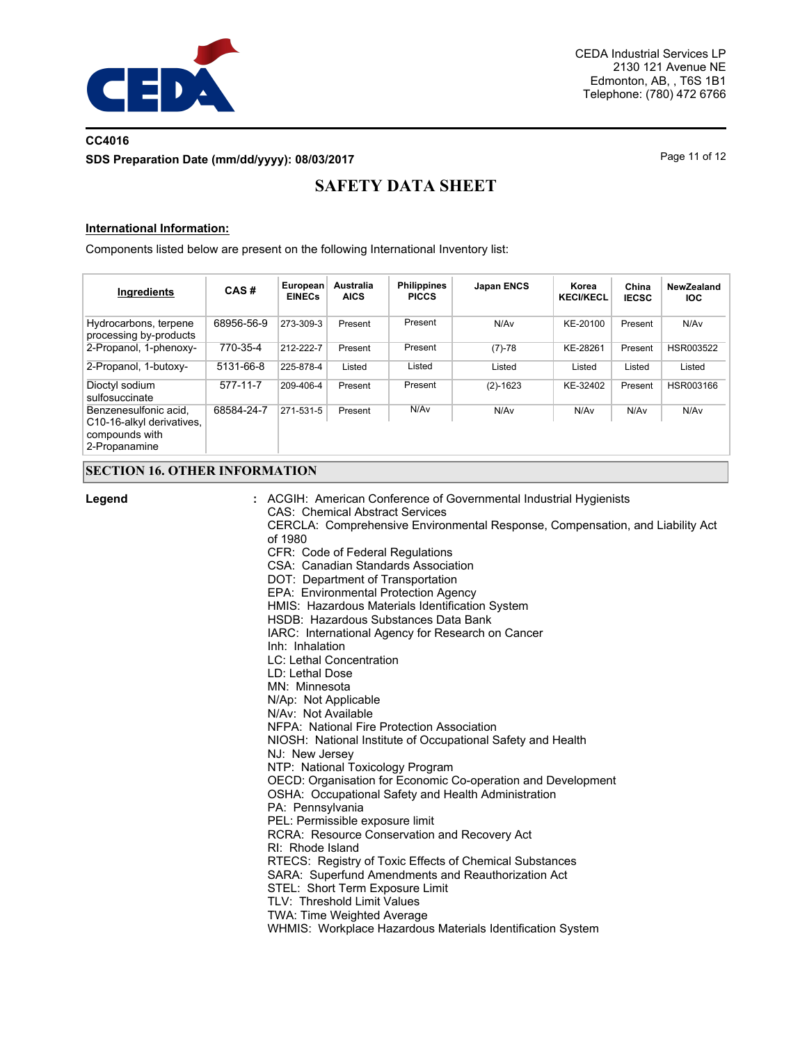

## **CC4016 SDS Preparation Date (mm/dd/yyyy): 08/03/2017** Page 11 of 12

# **SAFETY DATA SHEET**

#### **International Information:**

Components listed below are present on the following International Inventory list:

| Ingredients                                                                           | CAS#       | European<br><b>EINECs</b> | Australia<br><b>AICS</b> | <b>Philippines</b><br><b>PICCS</b> | <b>Japan ENCS</b> | Korea<br><b>KECI/KECL</b> | China<br><b>IECSC</b> | NewZealand<br><b>IOC</b> |
|---------------------------------------------------------------------------------------|------------|---------------------------|--------------------------|------------------------------------|-------------------|---------------------------|-----------------------|--------------------------|
| Hydrocarbons, terpene<br>processing by-products                                       | 68956-56-9 | 273-309-3                 | Present                  | Present                            | N/Av              | KE-20100                  | Present               | N/Av                     |
| 2-Propanol, 1-phenoxy-                                                                | 770-35-4   | 212-222-7                 | Present                  | Present                            | $(7)-78$          | KE-28261                  | Present               | HSR003522                |
| 2-Propanol, 1-butoxy-                                                                 | 5131-66-8  | 225-878-4                 | Listed                   | Listed                             | Listed            | Listed                    | Listed                | Listed                   |
| Dioctyl sodium<br>sulfosuccinate                                                      | 577-11-7   | 209-406-4                 | Present                  | Present                            | $(2)-1623$        | KE-32402                  | Present               | HSR003166                |
| Benzenesulfonic acid.<br>C10-16-alkyl derivatives.<br>compounds with<br>2-Propanamine | 68584-24-7 | 271-531-5                 | Present                  | N/Av                               | N/Av              | N/Av                      | N/Av                  | N/Av                     |

## **SECTION 16. OTHER INFORMATION**

**Legend :**

ACGIH: American Conference of Governmental Industrial Hygienists CAS: Chemical Abstract Services CERCLA: Comprehensive Environmental Response, Compensation, and Liability Act of 1980 CFR: Code of Federal Regulations CSA: Canadian Standards Association DOT: Department of Transportation EPA: Environmental Protection Agency HMIS: Hazardous Materials Identification System HSDB: Hazardous Substances Data Bank IARC: International Agency for Research on Cancer Inh: Inhalation LC: Lethal Concentration LD: Lethal Dose MN: Minnesota N/Ap: Not Applicable N/Av: Not Available NFPA: National Fire Protection Association NIOSH: National Institute of Occupational Safety and Health NJ: New Jersey NTP: National Toxicology Program OECD: Organisation for Economic Co-operation and Development OSHA: Occupational Safety and Health Administration PA: Pennsylvania PEL: Permissible exposure limit RCRA: Resource Conservation and Recovery Act RI: Rhode Island RTECS: Registry of Toxic Effects of Chemical Substances SARA: Superfund Amendments and Reauthorization Act STEL: Short Term Exposure Limit TLV: Threshold Limit Values TWA: Time Weighted Average WHMIS: Workplace Hazardous Materials Identification System